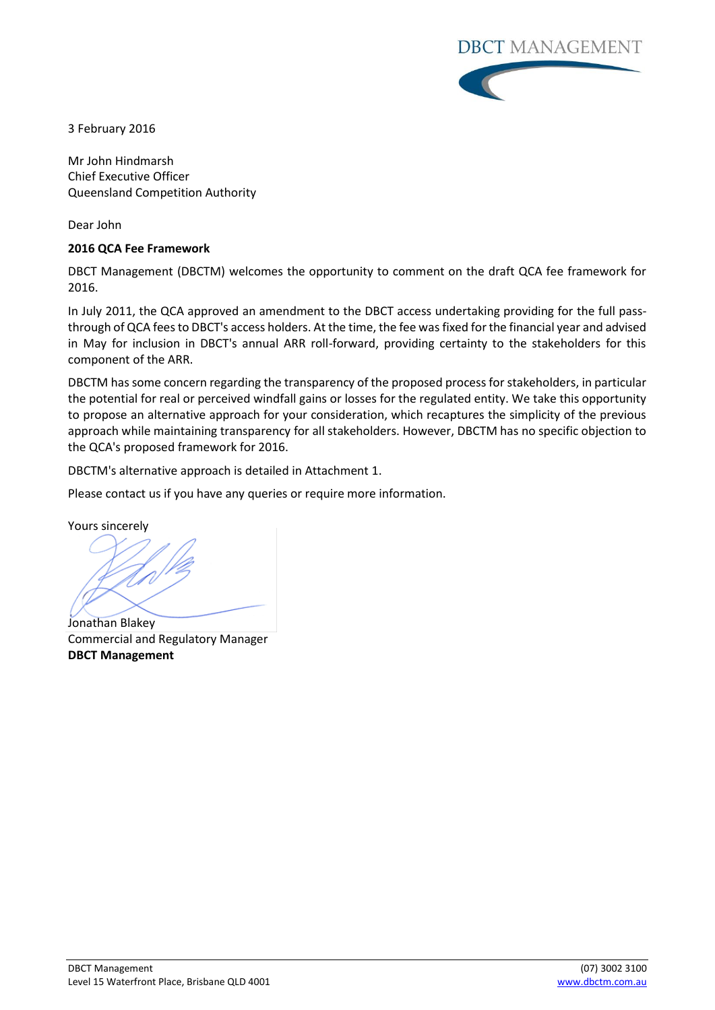

3 February 2016

Mr John Hindmarsh Chief Executive Officer Queensland Competition Authority

Dear John

## **2016 QCA Fee Framework**

DBCT Management (DBCTM) welcomes the opportunity to comment on the draft QCA fee framework for 2016.

In July 2011, the QCA approved an amendment to the DBCT access undertaking providing for the full passthrough of QCA fees to DBCT's access holders. At the time, the fee was fixed for the financial year and advised in May for inclusion in DBCT's annual ARR roll-forward, providing certainty to the stakeholders for this component of the ARR.

DBCTM has some concern regarding the transparency of the proposed process for stakeholders, in particular the potential for real or perceived windfall gains or losses for the regulated entity. We take this opportunity to propose an alternative approach for your consideration, which recaptures the simplicity of the previous approach while maintaining transparency for all stakeholders. However, DBCTM has no specific objection to the QCA's proposed framework for 2016.

DBCTM's alternative approach is detailed in Attachment 1.

Please contact us if you have any queries or require more information.

Yours sincerely

Jonathan Blakey Commercial and Regulatory Manager **DBCT Management**